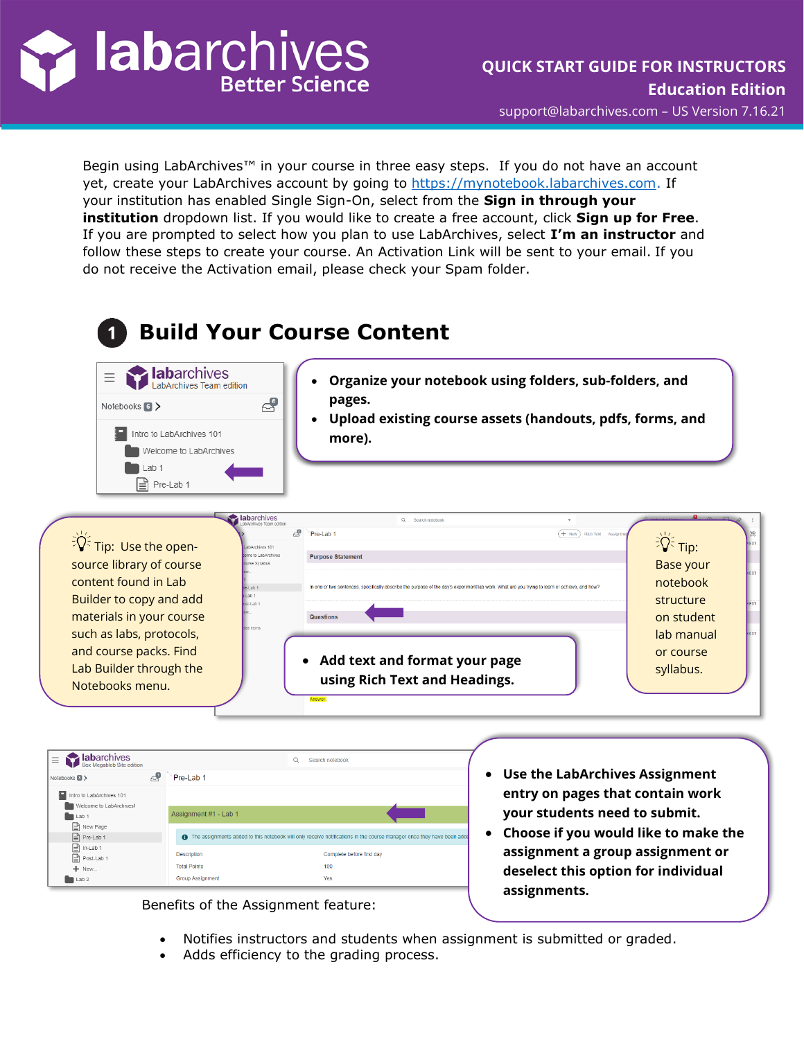

**ab**archives LabArchives Team edition

Intro to LabArchives 101 Welcome to LabArchives

> $\blacksquare$  Lab 1  $\Box$  Pre-Lab 1

Notebooks<sup>3</sup>

Begin using LabArchives™ in your course in three easy steps. If you do not have an account yet, create your LabArchives account by going to [https://mynotebook.labarchives.com.](https://mynotebook.labarchives.com/) If your institution has enabled Single Sign-On, select from the **Sign in through your institution** dropdown list. If you would like to create a free account, click **Sign up for Free**. If you are prompted to select how you plan to use LabArchives, select **I'm an instructor** and follow these steps to create your course. An Activation Link will be sent to your email. If you do not receive the Activation email, please check your Spam folder.

## **Build Your Course Content**

යු

- **Organize your notebook using folders, sub-folders, and pages.**
- **Upload existing course assets (handouts, pdfs, forms, and more).**

|                                                               | <b>abarchives</b><br><b>Marchives Team edition</b> | $\Omega$<br>Search notebook                                                                                                                    | $\sqrt{2}$ $\approx$ $\sqrt{2}$  |
|---------------------------------------------------------------|----------------------------------------------------|------------------------------------------------------------------------------------------------------------------------------------------------|----------------------------------|
|                                                               | $\mathbb{R}$                                       | Pre-Lab 1<br>Rich Text Assignm                                                                                                                 |                                  |
| $\frac{1}{2}\overline{\mathbf{\hat{Q}}^2}$ Tip: Use the open- | abArchives 101<br>ome to LabArchives               |                                                                                                                                                | $\frac{1}{2}\sum_{i=1}^{n}$ Tip: |
| source library of course                                      | turse Syllabus                                     | <b>Purpose Statement</b>                                                                                                                       | Base your                        |
| content found in Lab                                          | re-Lab 1                                           | In one or two sentences, specifically describe the purpose of the day's experiment/lab work. What are you trying to learn or achieve, and how? | notebook                         |
| Builder to copy and add                                       | ilab 1<br>st-Lab 1                                 |                                                                                                                                                | structure                        |
| materials in your course                                      |                                                    | <b>Questions</b>                                                                                                                               | on student                       |
| such as labs, protocols,                                      |                                                    |                                                                                                                                                | lab manual                       |
| and course packs. Find                                        |                                                    | • Add text and format your page                                                                                                                | or course                        |
| Lab Builder through the                                       |                                                    |                                                                                                                                                | syllabus.                        |
| Notebooks menu.                                               |                                                    | using Rich Text and Headings.                                                                                                                  |                                  |
|                                                               |                                                    | Answer                                                                                                                                         |                                  |

| <b>abarchives</b><br>Box Megablob Site edition<br>$\equiv$ |                         | Q<br>Search notebook                                                                                                  |
|------------------------------------------------------------|-------------------------|-----------------------------------------------------------------------------------------------------------------------|
| Notebooks <b>8</b>                                         | Pre-Lab 1               |                                                                                                                       |
| Intro to LabArchives 101                                   |                         |                                                                                                                       |
| Welcome to LabArchives!                                    |                         |                                                                                                                       |
|                                                            | Assignment #1 - Lab 1   |                                                                                                                       |
| Lab <sub>1</sub>                                           |                         |                                                                                                                       |
| <b>B</b> New Page                                          |                         |                                                                                                                       |
| <b>B</b> Pre-Lab 1                                         | $\bullet$               | The assignments added to this notebook will only receive notifications in the course manager once they have been adde |
| $\boxed{=}$ In-Lab 1                                       |                         |                                                                                                                       |
| Post-Lab 1                                                 | Description             | Complete before first day                                                                                             |
|                                                            | <b>Total Points</b>     | 100                                                                                                                   |
| $+$ New                                                    |                         |                                                                                                                       |
| Lab <sub>2</sub>                                           | <b>Group Assignment</b> | Yes                                                                                                                   |
|                                                            |                         |                                                                                                                       |

- **Use the LabArchives Assignment entry on pages that contain work your students need to submit.**
- **Choose if you would like to make the assignment a group assignment or deselect this option for individual assignments.**

Benefits of the Assignment feature:

- Notifies instructors and students when assignment is submitted or graded.
- Adds efficiency to the grading process.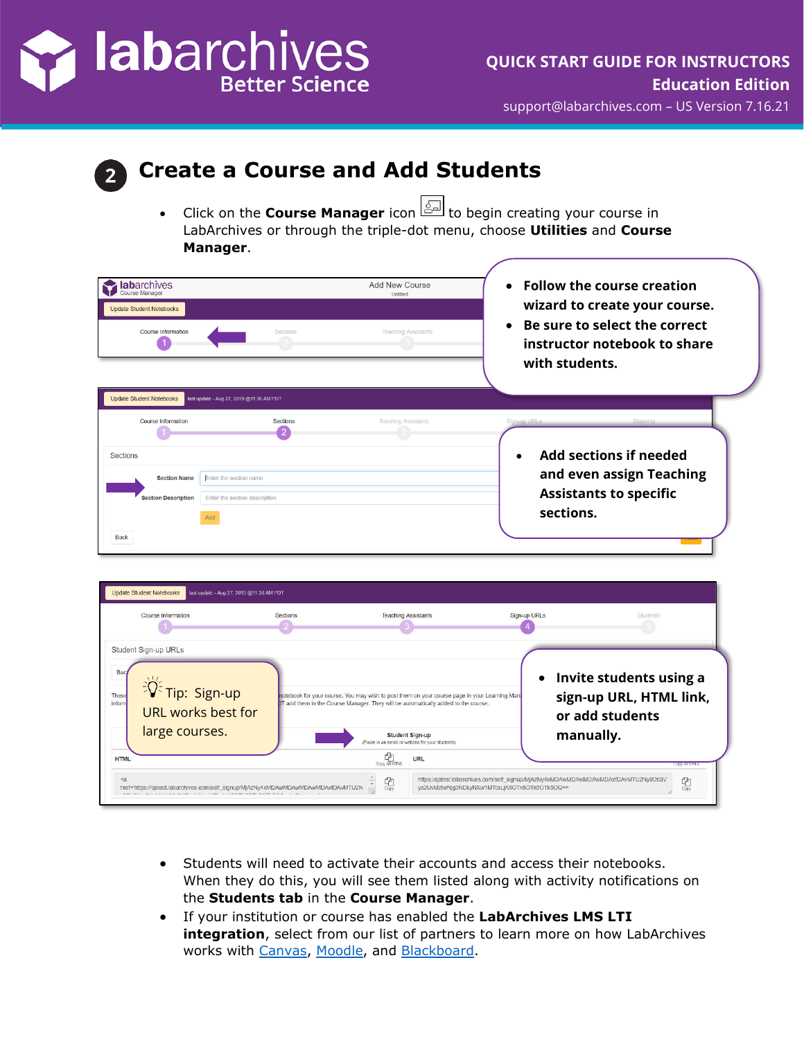

support@labarchives.com – US Version 7.16.21

## **Create a Course and Add Students**  $2<sup>1</sup>$

• Click on the **Course Manager** icon  $\boxed{\mathbb{S}^2}$  to begin creating your course in LabArchives or through the triple-dot menu, choose **Utilities** and **Course Manager**.

| <b>lab</b> archives<br>Course Manager              |                                                             | <b>Add New Course</b><br>Untitled | • Follow the course creation                                                                 |
|----------------------------------------------------|-------------------------------------------------------------|-----------------------------------|----------------------------------------------------------------------------------------------|
| <b>Update Student Notebooks</b>                    |                                                             |                                   | wizard to create your course.                                                                |
| <b>Course Information</b>                          | Sections                                                    | <b>Teaching Assistants</b>        | Be sure to select the correct<br>$\bullet$<br>instructor notebook to share<br>with students. |
|                                                    |                                                             |                                   |                                                                                              |
| <b>Course Information</b>                          | last update - Aug 27, 2019 @11:36 AM PDT<br><b>Sections</b> | <b>Teaching Assistants</b>        | Sign-up URLs<br>Student                                                                      |
| <b>Update Student Notebooks</b><br><b>Sections</b> |                                                             |                                   | Add sections if needed<br>$\bullet$                                                          |
| <b>Section Name</b>                                | Enter the section name                                      |                                   | and even assign Teaching                                                                     |
| <b>Section Description</b>                         | Enter the section description                               |                                   | <b>Assistants to specific</b>                                                                |

| <b>Jodate Student Notebooks</b><br>Course Information                                                                               | last update - Aug 27, 2019 @11:36 AM PDT<br><b>Sections</b> | <b>Teaching Assistants</b>                                                                                                                                                                                                                                        |     | Sign-up URLs                                                                       | Students                                                              |
|-------------------------------------------------------------------------------------------------------------------------------------|-------------------------------------------------------------|-------------------------------------------------------------------------------------------------------------------------------------------------------------------------------------------------------------------------------------------------------------------|-----|------------------------------------------------------------------------------------|-----------------------------------------------------------------------|
| Student Sign-up URLs<br>Bac<br>$\sqrt{\frac{1}{2}\sqrt{2}}$ Tip: Sign-up<br>These<br>inform<br>URL works best for<br>large courses. |                                                             | notebook for your course. You may wish to post them on your course page in your Learning Mana<br>IT add them in the Course Manager. They will be automatically added to the course.<br><b>Student Sign-up</b><br>(Paste in an email or website for your students) |     | $\bullet$<br>manually.                                                             | Invite students using a<br>sign-up URL, HTML link,<br>or add students |
| <b>HTML</b><br>≺a                                                                                                                   |                                                             | $\frac{dP}{d^{2}}$                                                                                                                                                                                                                                                | URL | https://qatest.labarchives.com/self_signup/MjAzNy4xMDAwMDAwMDAwMDAxfDAvMTU2Ny9Db3V | CODY All UP<br>ఆ                                                      |

- Students will need to activate their accounts and access their notebooks. When they do this, you will see them listed along with activity notifications on the **Students tab** in the **Course Manager**.
- If your institution or course has enabled the **LabArchives LMS LTI integration**, select from our list of partners to learn more on how LabArchives works with [Canvas,](https://www.labarchives.com/labarchives-knowledge-base/category/eln/course-manager/using-course-manager-with-canvas/) [Moodle,](https://www.labarchives.com/labarchives-knowledge-base/category/eln/course-manager/using-course-manager-with-moodle/) and [Blackboard.](https://www.labarchives.com/labarchives-knowledge-base/category/eln/course-manager/using-course-manager-with-blackboard/)